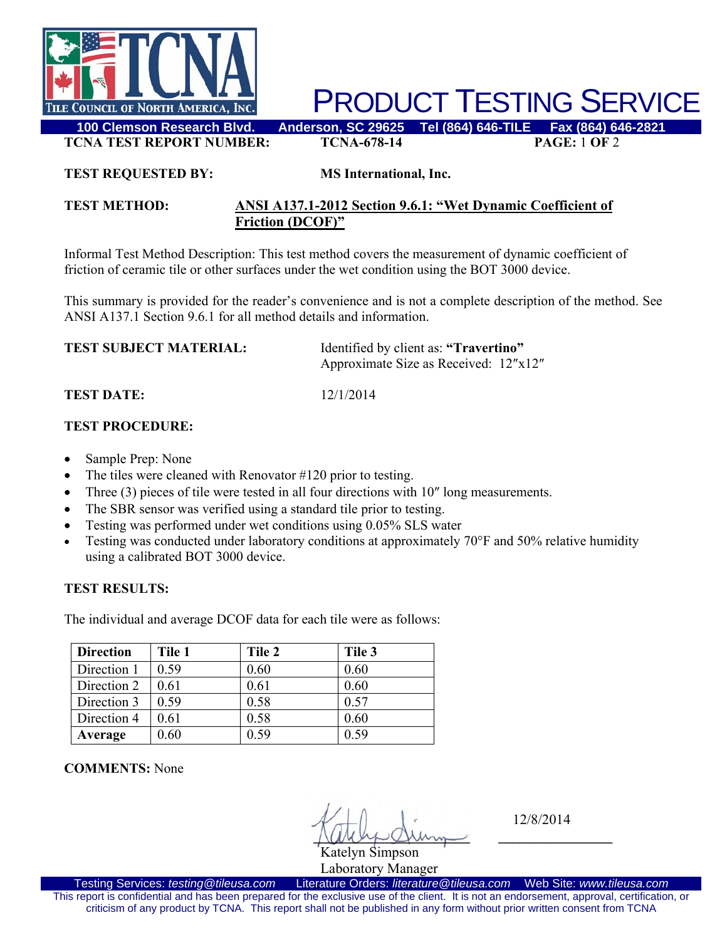

PRODUCT TESTING SERVICE

**TCNA TEST REPORT NUMBER: TCNA-678-14 PAGE:** 1 **OF** 2

#### **TEST REQUESTED BY: MS International, Inc.**

### **TEST METHOD: ANSI A137.1-2012 Section 9.6.1: "Wet Dynamic Coefficient of Friction (DCOF)"**

Informal Test Method Description: This test method covers the measurement of dynamic coefficient of friction of ceramic tile or other surfaces under the wet condition using the BOT 3000 device.

This summary is provided for the reader's convenience and is not a complete description of the method. See ANSI A137.1 Section 9.6.1 for all method details and information.

| <b>TEST SUBJECT MATERIAL:</b> | Identified by client as: "Travertino" |  |
|-------------------------------|---------------------------------------|--|
|                               | Approximate Size as Received: 12"x12" |  |

**TEST DATE:** 12/1/2014

# **TEST PROCEDURE:**

- Sample Prep: None
- The tiles were cleaned with Renovator #120 prior to testing.
- Three (3) pieces of tile were tested in all four directions with 10" long measurements.
- The SBR sensor was verified using a standard tile prior to testing.
- Testing was performed under wet conditions using 0.05% SLS water
- Testing was conducted under laboratory conditions at approximately 70°F and 50% relative humidity using a calibrated BOT 3000 device.

### **TEST RESULTS:**

The individual and average DCOF data for each tile were as follows:

| <b>Direction</b> | Tile 1 | Tile 2 | Tile 3 |
|------------------|--------|--------|--------|
| Direction 1      | 0.59   | 0.60   | 0.60   |
| Direction 2      | 0.61   | 0.61   | 0.60   |
| Direction 3      | 0.59   | 0.58   | 0.57   |
| Direction 4      | 0.61   | 0.58   | 0.60   |
| Average          | 0.60   | 0.59   | 0.59   |

**COMMENTS:** None

 $\sqrt{M\omega}$ Katelyn Simpson

12/8/2014

Laboratory Manager<br>Literature Orders: literature@tileusa.com Testing Services: *testing@tileusa.com* Literature Orders: *literature@tileusa.com* Web Site: *www.tileusa.com* This report is confidential and has been prepared for the exclusive use of the client. It is not an endorsement, approval, certification, or criticism of any product by TCNA. This report shall not be published in any form without prior written consent from TCNA